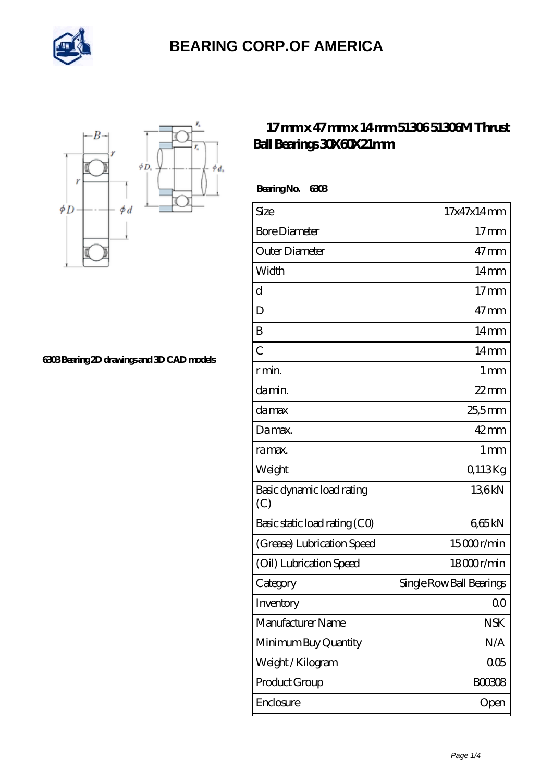



**[6303 Bearing 2D drawings and 3D CAD models](https://chinapeixun.org/pic-65194242.html)**

#### **[17 mm x 47 mm x 14 mm 51306 51306M Thrust](https://chinapeixun.org/be-65194242-51306-51306m-thrust-ball-bearings-30x60x21mm.html) [Ball Bearings 30X60X21mm](https://chinapeixun.org/be-65194242-51306-51306m-thrust-ball-bearings-30x60x21mm.html)**

 **Bearing No. 6303**

| Size                             | 17x47x14mm               |
|----------------------------------|--------------------------|
|                                  |                          |
| <b>Bore Diameter</b>             | 17 <sub>mm</sub>         |
| Outer Diameter                   | $47 \text{mm}$           |
| Width                            | $14 \text{mm}$           |
| d                                | 17 <sub>mm</sub>         |
| D                                | $47 \text{mm}$           |
| B                                | $14 \text{mm}$           |
| C                                | $14 \text{mm}$           |
| r min.                           | $1 \,\mathrm{mm}$        |
| da min.                          | $22$ mm                  |
| damax                            | 25,5mm                   |
| Damax.                           | $42$ mm                  |
| ra max.                          | $1 \,\mathrm{mm}$        |
| Weight                           | Q113Kg                   |
| Basic dynamic load rating<br>(C) | 136kN                    |
| Basic static load rating (CO)    | 665kN                    |
| (Grease) Lubrication Speed       | 15000r/min               |
| (Oil) Lubrication Speed          | 18000r/min               |
| Category                         | Single Row Ball Bearings |
| Inventory                        | Q0                       |
| Manufacturer Name                | <b>NSK</b>               |
| Minimum Buy Quantity             | N/A                      |
| Weight/Kilogram                  | 005                      |
| Product Group                    | <b>BOO308</b>            |
| Enclosure                        | Open                     |
|                                  |                          |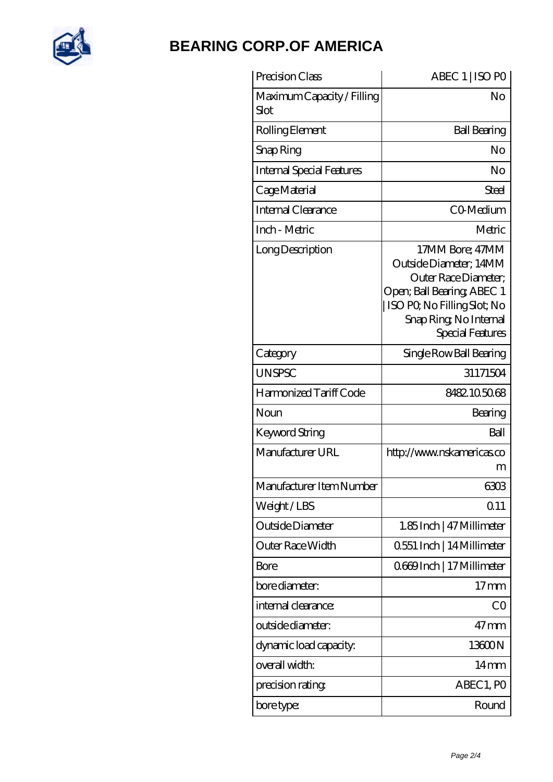

| Precision Class                    | ABEC 1   ISO PO                                                                                                                                                                    |
|------------------------------------|------------------------------------------------------------------------------------------------------------------------------------------------------------------------------------|
| Maximum Capacity / Filling<br>Slot | No                                                                                                                                                                                 |
| Rolling Element                    | <b>Ball Bearing</b>                                                                                                                                                                |
| Snap Ring                          | No                                                                                                                                                                                 |
| <b>Internal Special Features</b>   | No                                                                                                                                                                                 |
| Cage Material                      | Steel                                                                                                                                                                              |
| Internal Clearance                 | CO-Medium                                                                                                                                                                          |
| Inch - Metric                      | Metric                                                                                                                                                                             |
| Long Description                   | 17MM Bore; 47MM<br>Outside Diameter; 14MM<br>Outer Race Diameter:<br>Open; Ball Bearing; ABEC 1<br>ISO PQ No Filling Slot; No<br>Snap Ring, No Internal<br><b>Special Features</b> |
| Category                           | Single Row Ball Bearing                                                                                                                                                            |
| <b>UNSPSC</b>                      | 31171504                                                                                                                                                                           |
| Harmonized Tariff Code             | 8482105068                                                                                                                                                                         |
| Noun                               | Bearing                                                                                                                                                                            |
| Keyword String                     | Ball                                                                                                                                                                               |
| Manufacturer URL                   | http://www.nskamericas.co<br>m                                                                                                                                                     |
| Manufacturer Item Number           | 6303                                                                                                                                                                               |
| Weight/LBS                         | 0.11                                                                                                                                                                               |
| Outside Diameter                   | 1.85Inch   47 Millimeter                                                                                                                                                           |
| Outer Race Width                   | 0.551 Inch   14 Millimeter                                                                                                                                                         |
| Bore                               | 0669Inch   17 Millimeter                                                                                                                                                           |
| bore diameter:                     | 17 <sub>mm</sub>                                                                                                                                                                   |
| internal clearance:                | CO                                                                                                                                                                                 |
| outside diameter:                  | $47$ mm                                                                                                                                                                            |
| dynamic load capacity:             | 13600N                                                                                                                                                                             |
| overall width:                     | $14 \text{mm}$                                                                                                                                                                     |
| precision rating                   | ABEC 1, PO                                                                                                                                                                         |
| bore type:                         | Round                                                                                                                                                                              |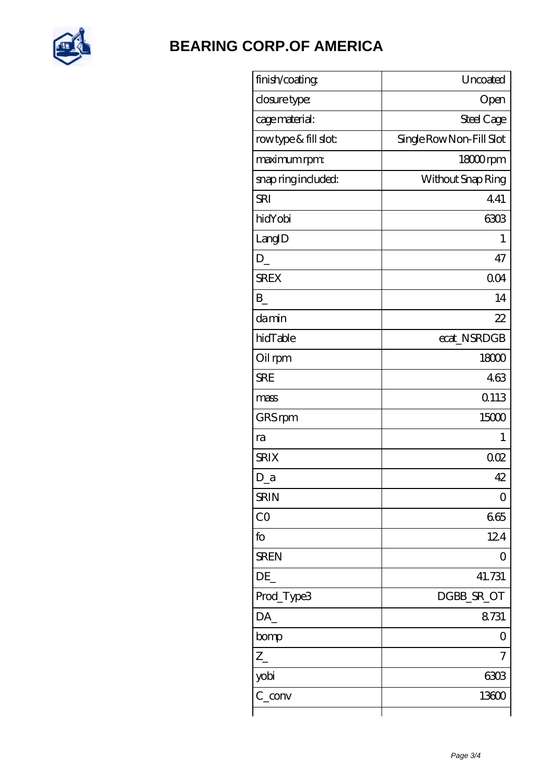

| finish/coating       | Uncoated                 |
|----------------------|--------------------------|
| closure type:        | Open                     |
| cage material:       | Steel Cage               |
| rowtype & fill slot: | Single Row Non-Fill Slot |
| maximum rpm:         | 18000rpm                 |
| snap ring included:  | Without Snap Ring        |
| <b>SRI</b>           | 441                      |
| hidYobi              | 6303                     |
| LangID               | 1                        |
| $\mathbf{D}_{-}$     | 47                       |
| <b>SREX</b>          | 004                      |
| B                    | 14                       |
| damin                | 22                       |
| hidTable             | ecat_NSRDGB              |
| Oil rpm              | 18000                    |
| <b>SRE</b>           | 463                      |
| mass                 | 0113                     |
| GRS rpm              | 15000                    |
| ra                   | 1                        |
| <b>SRIX</b>          | 002                      |
| $D_a$                | 42                       |
| <b>SRIN</b>          | $\Omega$                 |
| CO                   | 665                      |
| fo                   | 124                      |
| <b>SREN</b>          | 0                        |
| DE                   | 41.731                   |
| Prod_Type3           | DGBB_SR_OT               |
| DA                   | 8731                     |
| bomp                 | 0                        |
| $Z_{-}$              | 7                        |
| yobi                 | 6303                     |
| $C_{conv}$           | 13600                    |
|                      |                          |